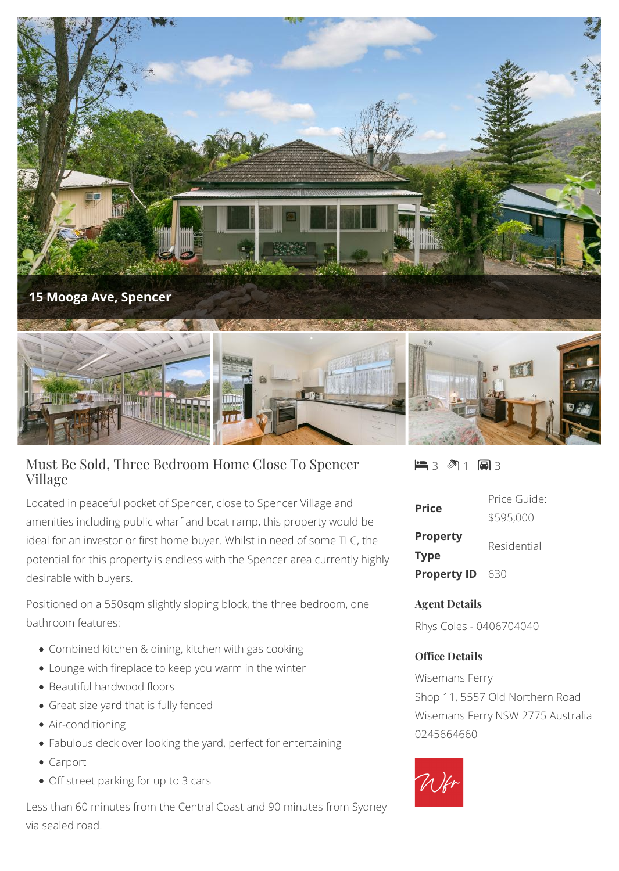

## Must Be Sold, Three Bedroom Home Close To Spencer Village

Located in peaceful pocket of Spencer, close to Spencer Village and amenities including public wharf and boat ramp, this property would be ideal for an investor or first home buyer. Whilst in need of some TLC, the potential for this property is endless with the Spencer area currently highly desirable with buyers.

Positioned on a 550sqm slightly sloping block, the three bedroom, one bathroom features:

- Combined kitchen & dining, kitchen with gas cooking
- Lounge with fireplace to keep you warm in the winter
- Beautiful hardwood floors
- Great size yard that is fully fenced
- Air-conditioning
- Fabulous deck over looking the yard, perfect for entertaining
- Carport
- Off street parking for up to 3 cars

Less than 60 minutes from the Central Coast and 90 minutes from Sydney via sealed road.

 $\blacksquare$ 3  $\blacksquare$ 1  $\blacksquare$ 3

| <b>Price</b>       | Price Guide: |
|--------------------|--------------|
|                    | \$595,000    |
| <b>Property</b>    | Residential  |
| <b>Type</b>        |              |
| <b>Property ID</b> | -630         |

## **Agent Details**

Rhys Coles - 0406704040

## **Office Details**

Wisemans Ferry Shop 11, 5557 Old Northern Road Wisemans Ferry NSW 2775 Australia 0245664660